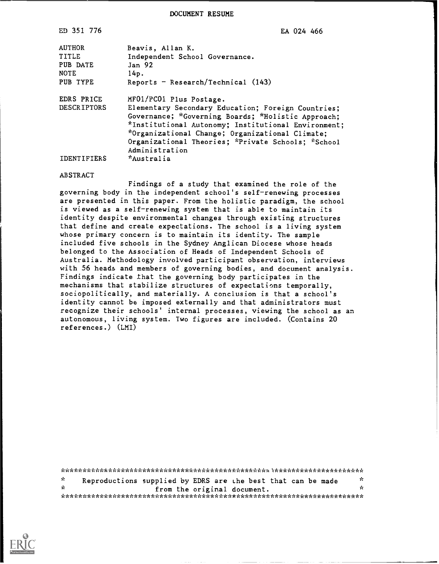DOCUMENT RESUME

| ED 351 776                                             | EA 024 466                                                                                                                                                                                                                                                                                                                          |
|--------------------------------------------------------|-------------------------------------------------------------------------------------------------------------------------------------------------------------------------------------------------------------------------------------------------------------------------------------------------------------------------------------|
| <b>AUTHOR</b><br>TITLE<br>PUB DATE<br>NOTE<br>PUB TYPE | Beavis, Allan K.<br>Independent School Governance.<br>Jan <sub>92</sub><br>14p.<br>Reports - Research/Technical $(143)$                                                                                                                                                                                                             |
| EDRS PRICE<br><b>DESCRIPTORS</b><br><b>IDENTIFIERS</b> | MF01/PC01 Plus Postage.<br>Elementary Secondary Education; Foreign Countries;<br>Governance; *Governing Boards; *Holistic Approach;<br>*Institutional Autonomy; Institutional Environment;<br>*Organizational Change; Organizational Climate;<br>Organizational Theories; *Private Schools; *School<br>Administration<br>*Australia |

#### ABSTRACT

Findings of a study that examined the role of the governing body in the independent school's self-renewing processes are presented in this paper. From the holistic paradigm, the school is viewed as a self-renewing system that is able to maintain its identity despite environmental changes through existing structures that define and create expectations. The school is a living system whose primary concern is to maintain its identity. The sample included five schools in the Sydney Anglican Diocese whose heads belonged to the Association of Heads of Independent Schools of Australia. Methodology involved participant observation, interviews with 56 heads and members of governing bodies, and document analysis. Findings indicate that the governing body participates in the mechanisms that stabilize structures of expectations temporally, sociopolitically, and materially. A conclusion is that a school's identity cannot be imposed externally and that administrators must recognize their schools' internal processes, viewing the school as an autonomous, living system. Two figures are included. (Contains 20 references.) (LMI)

\*\*\*\*\*\*\*\*\*\*\*\*\*\*\*\*\*\*\*\*\*\*\*\*\*\*\*\*\*\*\*\*\*\*\*\*\*\*\*\*\*\*\*\*\*\*\*\*\*\*\*\*\*\*\*\*\*\*\*\*\*\*\*\*\*\*\*\*\*\*  $\mathbf{r}$ Reproductions supplied by EDRS are the best that can be made  $\frac{x}{x}$ from the original document. \*\*\*\*\*\*\*\*\*\*\*\*\*\*\*\*\*\*\*\*\*\*\*\*\*\*\*\*\*\*\*\*\*\*\*\*\*\*\*\*\*\*\*\*\*\*\*\*\*\*\*\*\*\*\*\*\*\*\*\*\*\*\*\*\*\*\*\*\*\*\*

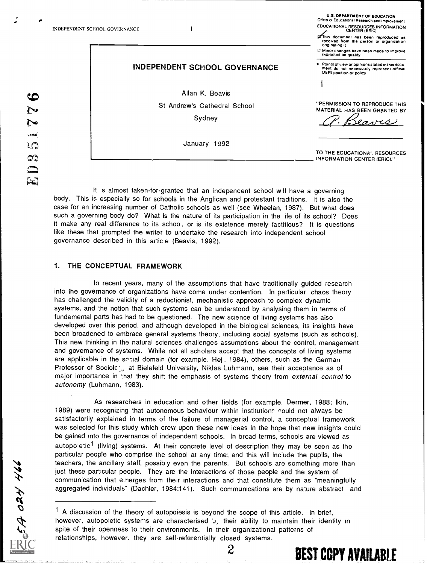U.S. DEPARTMENT OF EDUCATION Office of Educations! Research and Improvement EDUCATIONAL RESOURCES INFORMATION INDEPENDENT SCHOOL. GOVERNANCE I CENTER (ERIC)

This document has been reproduced as received from the person or organization originating it

C Minor changes have been made to improve reproduction Quality

INDEPENDENT SCHOOL GOVERNANCE Thenti do not necessarily represent official do not necessarily represent official OERI position or policy

ł

 $2$  BEST COPY AVAILABLE

"PERMISSION TO REPRODUCE THIS MATERIAL HAS BEEN GRANTED BY

Searr

TO THE EDUCATIONA! RESOURCES INFORMATION CENTER (ERIC)."

It is almost taken-for-granted that an independent school will have a governing body. This is especially so for schools in the Anglican and protestant traditions. It is also the case for an increasing number of Catholic schools as well (see Wheelan, 1987). But what does such a governing body do? What is the nature of its participation in the life of its school? Does it make any real difference to its school, or is its existence merely factitious? It is questions like these that prompted the writer to undertake the research into independent school governance described in this article (Beavis, 1992).

Allan K. Beavis St Andrew's Cathedral School Sydney

January 1992

# 1. THE CONCEPTUAL FRAMEWORK

In recent years, many of the assumptions that have traditionally guided research into the governance of organizations have come under contention. In particular, chaos theory has challenged the validity of a reductionist, mechanistic approach to complex dynamic systems, and the notion that such systems can be understood by analysing them in terms of fundamental parts has had to be questioned. The new science of living systems has aiso developed over this period, and although developed in the biological sciences, its insights have been broadened to embrace general systems theory, including social systems (such as schools). This new thinking in the natural sciences challenges assumptions about the control, management and governance of systems. While not all scholars accept that the concepts of living systems are applicable in the social domain (for example. Hejl, 1984), others, such as the German Professor of Sociolc: at Bielefeld University, Niklas Luhmann, see their acceptance as of major importance in that they shift the emphasis of systems theory from external control to autonomy (Luhmann, 1983).

As researchers in education and other fields (for example, Dermer, 1988; lkin, 1989) were recognizing that autonomous behaviour within institutions could not always be satisfactorily explained in terms of the failure of managerial control, a conceptual framework was selected for this study which drew upon these new ideas in the hope that new insights could be gained into the governance of independent schools. In broad terms, schools are viewed as autopoietic<sup>1</sup> (living) systems. At their concrete level of description they may be seen as the particular people who comprise the school at any time; and this will include the pupils, the teachers, the ancillary staff, possibly even the parents. But schools are something more than just these particular people. They are the interactions of those people and the system of communication that emerges from their interactions and that constitute them as "meaningfully aggregated individuals" (Dachler, 1984:141). Such communications are by nature abstract and

<sup>1</sup> A discussion of the theory of autopoiesis is beyond the scope of this article. In brief, however, autopoietic systems are characterised by their ability to maintain their identity in spite of their openness to their environments. In tneir organizational patterns of relationships, however, they are self-referentially closed systems.

 $6.54024$  466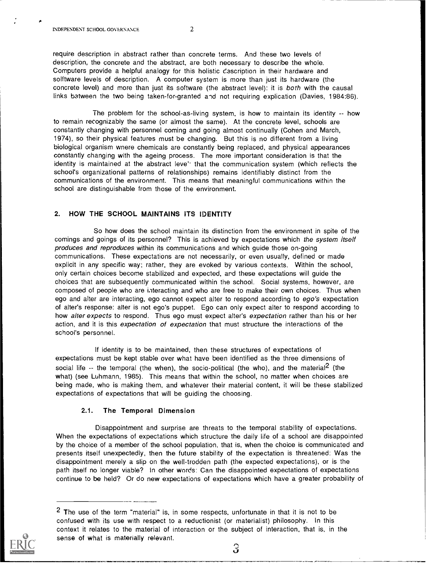LNDEPENDENT SCHOOL, GOVERNANCE 2

require description in abstract rather than concrete terms. And these two levels of description, the concrete and the abstract, are both necessary to describe the whole. Computers provide a helpful analogy for this holistic cescription in their hardware and solftware levels of description. A computer system is more than just its hardware (the concrete level) and more than just its software (the abstract level): it is both with the causal links between the two being taken-for-granted and not requiring explication (Davies, 1984:86).

The problem for the school-as-living system, is how to maintain its identity -- how to remain recognizably the same (or almost the same). At the concrete level, schools are constantly changing with personnel coming and going almost continually (Cohen and March, 1974), so their physical features must be changing. But this is no different from a living biological organism wnere chemicals are constantly being replaced, and physical appearances constantly changing with the ageing process. The more important consideration is that the identity is maintained at the abstract leve' that the communication system (which reflects the school's organizational patterns of relationships) remains identifiably distinct from the communications of the environment. This means that meaningful communications within the school are distinguishable from those of the environment.

# 2. HOW THE SCHOOL MAINTAINS ITS IDENTITY

So how does the school maintain its distinction from the environment in spite of the comings and goings of its personnel? This is achieved by expectations which the system itself produces and reproduces within its communications and which guide those on-going communications. These expectations are not necessarily, or even usually, defined or made explicit in any specific way: rather, they are evoked by various contexts. Within the school, only certain choices become stabilized and expected, and these expectations will guide the choices that are subsequently communicated within the school. Social systems, however, are composed of people who are interacting and who are free to make their own choices. Thus when ego and alter are interacting, ego cannot expect alter to respond according to ego's expectation of alter's response: alter is not ego's puppet. Ego can only expect alter to respond according to how alter expects to respond. Thus ego must expect alter's expectation rather than his or her action, and it is this expectation of expectation that must structure the interactions of the school's personnel.

If identity is to be maintained, then these structures of expectations of expectations must be kept stable over what have been identified as the three dimensions of social life -- the temporal (the when), the socio-political (the who), and the material<sup>2</sup> (the what) (see Luhmann, 1985). This means that within the school, no matter when choices are being made, who is making them, and whatever their material content, it will be these stabilized expectations of expectations that will be guiding the choosing.

# 2.1. The Temporal Dimension

Disappointment and surprise are threats to the temporal stability of expectations. When the expectations of expectations which structure the daily life of a school are disappointed by the choice of a member of the school population, that is, when the choice is communicated and presents itself unexpectedly, then the future stability of the expectation is threatened: Was the disappointment merely a slip on the well-trodden path (the expected expectations), or is the path itself no longer viable? In other words: Can the disappointed expectations of expectations continue to be held? Or do new expectations of expectations which have a greater probability of

<sup>2</sup> The use of the term "material" is, in some respects, unfortunate in that it is not to be confused with its use with respect to a reductionist (or materialist) philosophy. In this context it relates to the material of interaction or the subject of interaction, that is, in the sense of what is materially relevant.

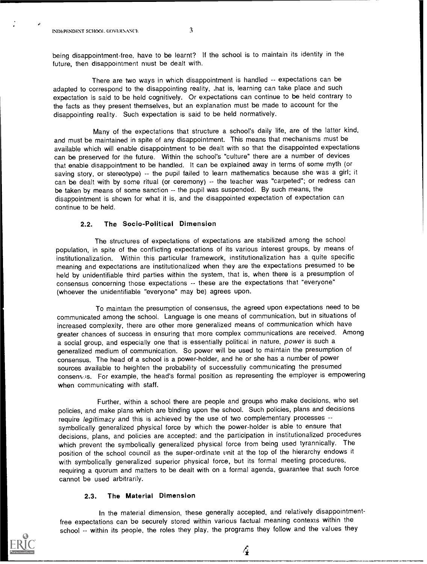being disappointment-free, have to be learnt? If the school is to maintain its identity in the future, then disappointment must be dealt with.

There are two ways in which disappointment is handled -- expectations can be adapted to correspond to the disappointing reality, hat is, learning can take place and such expectation is said to be held cognitively. Or expectations can continue to be held contrary to the facts as they present themselves, but an explanation must be made to account for the disappointing reality. Such expectation is said to be held normatively.

Many of the expectations that structure a school's daily life, are of the latter kind, and must be maintained in spite of any disappointment. This means that mechanisms must be available which will enable disappointment to be dealt with so that the disappointed expectations can be preserved for the future. Within the school's "culture" there are a number of devices that enable disappointment to be handled. It can be explained away in terms of some myth (or saving story, or stereotype) -- the pupil failed to learn mathematics because she was a girl; it can be dealt with by some ritual (or ceremony) -- the teacher was "carpeted"; or redress can be taken by means of some sanction -- the pupil was suspended. By such means, the disappointment is shown for what it is, and the disappointed expectation of expectation can continue to be held.

## 2.2. The Socio-Political Dimension

The structures of expectations of expectations are stabilized among the school population, in spite of the conflicting expectations of its various interest groups, by means of institutionalization. Within this particular framework, institutionalization has a quite specific meaning and expectations are institutionalized when they are the expectations presumed to be held by unidentifiable third parties within the system, that is, when there is a presumption of consensus concerning those expectations -- these are the expectations that "everyone" (whoever the unidentifiable "everyone" may be) agrees upon.

To maintain the presumption of consensus, the agreed upon expectations need to be communicated among the school. Language is one means of communication, but in situations of increased complexity, there are other more generalized means of communication which have greater chances of success in ensuring that more complex communications are received. Among a social group, and especially one that is essentially political in nature, power is such a generalized medium of communication. So power will be used to maintain the presumption of consensus. The head of a school is a power-holder, and he or she has a number of power sources available to heighten the probability of successfully communicating the presumed consensals. For example, the head's formal position as representing the employer is empowering when communicating with staff.

Further, within a school there are people and groups who make decisions, who set policies, and make plans which are binding upon the school. Such policies, plans and decisions require legitimacy and this is achieved by the use of two complementary processes -symbolically generalized physical force by which the power-holder is able to ensure that decisions, plans, and policies are accepted; and the participation in institutionalized procedures which prevent the symbolically generalized physical force from being used tyrannically. The position of the school council as the super-ordinate unit at the top of the hierarchy endows it with symbolically generalized superior physical force, but its formal meeting procedures, requiring a quorum and matters to be dealt with on a formal agenda, guarantee that such force cannot be used arbitrarily.

#### 2.3. The Material Dimension

In the material dimension, these generally accepted, and relatively disappointmentfree expectations can be securely stored within various factual meaning contexts within the school -- within its people, the roles they play, the programs they follow and the values they

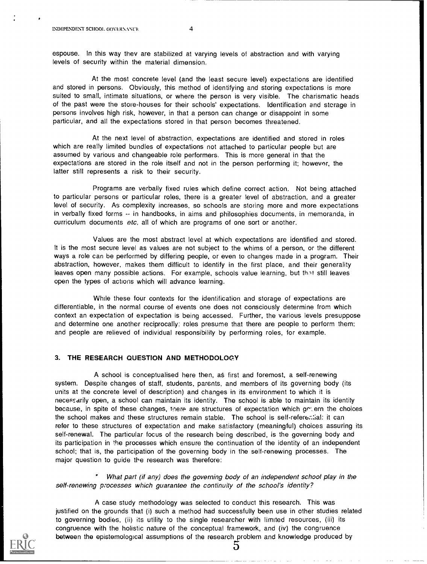espouse. In this way they are stabilized at varying levels of abstraction and with varying levels of security within the material dimension.

At the most concrete level (and the least secure level) expectations are identified and stored in persons. Obviously, this method of identifying and storing expectations is more suited to small, intimate situations, or where the person is very visible. The charismatic heads of the past were the store-houses for their schools' expectations. Identification and storage in persons involves high risk, however, in that a person can change or disappoint in some particular, and all the expectations stored in that person becomes threatened.

At the next level of abstraction, expectations are identified and stored in roles which are really limited bundles of expectations not attached to particular people but are assumed by various and changeable role performers. This is more general in that the expectations are stored in the role itself and not in the person performing it; however, the latter still represents a risk to their security.

Programs are verbally fixed rules which define correct action. Not being attached to particular persons or particular roles, there is a greater level of abstraction, and a greater level of security. As complexity increases, so schools are storing more and more expectations in verbally fixed forms -- in handbooks, in aims and philosophies documents, in memoranda, in curriculum documents etc, all of which are programs of one sort or another.

Values are the most abstract level at which expectations are identified and stored. It is the most secure level as values are not subject to the whims of a person, or the different ways a role can be performed by differing people, or even to changes made in a program. Their abstraction, however, makes them difficult to identify in the first place, and their generality leaves open many possible actions. For example, schools value learning, but that still leaves open the types of actions which will advance learning.

While these four contexts for the identification and storage of expectations are differentiable, in the normal course of events one does not consciously determine from which context an expectation of expectation is being accessed. Further, the various levels presuppose and determine one another reciprocally: roles presume that there are people to perform them; and people are relieved of individual responsibility by performing roles, for example.

## 3. THE RESEARCH QUESTION AND METHODOLOGY

A school is conceptualised here then, aS first and foremost, a self-renewing system. Despite changes of staff, students, parents, and members of its governing body (its units at the concrete level of description) and changes in its environment to which it is necessarily open, a school can maintain its identity. The school is able to maintain its identity because, in spite of these changes, there are structures of expectation which gr: em the choices the school makes and these structures remain stable. The school is self-referer.1ial: it can refer to these structures of expectation and make satisfactory (meaningful) choices assuring its self-renewal. The particular focus of the research being described, is the governing body and its participation in the processes which ensure the continuation of the identity of an independent school; that is, the participation of the governing body in the self-renewing processes. The major question to guide the research was therefore:

What part (if any) does the governing body of an independent school play in the self-renewing processes which guarantee the continuity of the school's identity?

A case study methodology was selected to conduct this research. This was justified on the grounds that (i) such a method had successfully been use in other studies related to governing bodies, (ii) its utility to the single researcher with limited resources, (iii) its congruence with the holistic nature of the conceptual framework, and (iv) the congruence between the epistemological assumptions of the research problem and knowledge produced by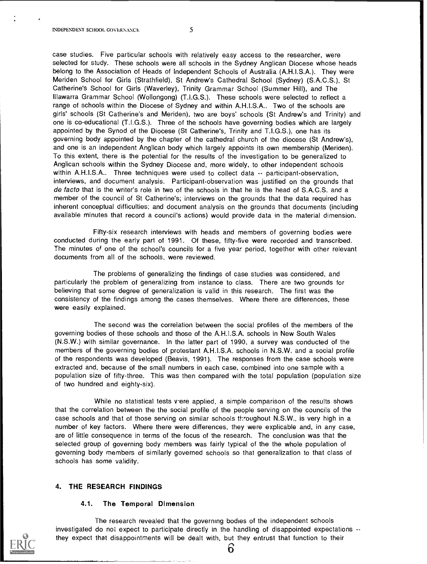case studies. Five particular schools with relatively easy access to the researcher, were selected for study. These schools were all schools in the Sydney Anglican Diocese whose heads belong to the Association of Heads of Independent Schools of Australia (A.H.I.S.A.). They were Meriden School for Girls (Strathfield), St Andrew's Cathedral School (Sydney) (S.A.C.S.), St Catherine's School for Girls (Waverley), Trinity Grammar School (Summer Hill), and The Illawarra Grammar School (Wollongong) (T.I.G.S.). These schools were selected to reflect a range of schools within the Diocese of Sydney and within A.H.I.S.A.. Two of the schools are girls' schools (St Catherine's and Meriden), two are boys' schools (St Andrew's and Trinity) and one is co-educational (T.I.G.S.). Three of the schools have governing bodies which are largely appointed by the Synod of the Diocese (St Catherine's, Trinity and T.I.G.S.), one has its governing body appointed by the chapter of the cathedral church of the diocese (St Andrew's), and one is an independent Anglican body which largely appoints its own membership (Meriden). To this extent, there is the potential for the results of the investigation to be generalized to Anglican schools within the Sydney Diocese and, more widely, to other independent schools within A.H.I.S.A.. Three techniques were used to collect data -- participant-observation, interviews, and document analysis. Participant-observation was justified on the grounds that de facto that is the writer's role in two of the schools in that he is the head of S.A.C.S. and a member of the council of St Catherine's; interviews on the grounds that the data required has inherent conceptual difficulties; and document analysis on the grounds that documents (including available minutes that record a council's actions) would provide data in the material dimension.

Fifty-six research interviews with heads and members of governing bodies were conducted during the early part of 1991. Of these, fifty-five were recorded and transcribed. The minutes of one of the school's councils for a five year period, together with other relevant documents from all of the schools, were reviewed.

The problems of generalizing the findings of case studies was considered, and particularly the problem of generalizing from instance to class. There are two grounds for believing that some degree of generalization is valid in this research. The first was the consistency of the findings among the cases themselves. Where there are differences, these were easily explained.

The second was the correlation between the social profiles of the members of the governing bodies of these schools and those of the A.H.I.S.A. schools in New South Wales (N.S.W.) with similar governance. In the latter part of 1990, a survey was conducted of the members of the governing bodies of protestant A.H.I.S.A. schools in N.S.W. and a social profile of the respondents was developed (Beavis, 1991). The responses from the case schools were extracted and, because of the small numbers in each case, combined into one sample with a population size of fifty-three. This was then compared with the total population (population size of two hundred and eighty-six).

While no statistical tests v'ere applied, a simple comparison of the results shows that the correlation between the the social profile of the people serving on the councils of the case schools and that of those serving on similar schools throughout N.S.W., is very high in a number of key factors. Where there were differences, they were explicable and, in any case, are of little consequence in terms of the focus of the research. The conclusion was that the selected group of governing body members was fairly typical of the the whole population of governing body members of similarly governed schools so that generalization to that class of schools has some validity.

# 4. THE RESEARCH FINDINGS

## 4.1. The Temporal Dimension

The research revealed that the governing bodies of the independent schools investigated do not expect to participate directly in the handling of disappointed expectations - they expect that disappointments will be dealt with, but they entrust that function to their

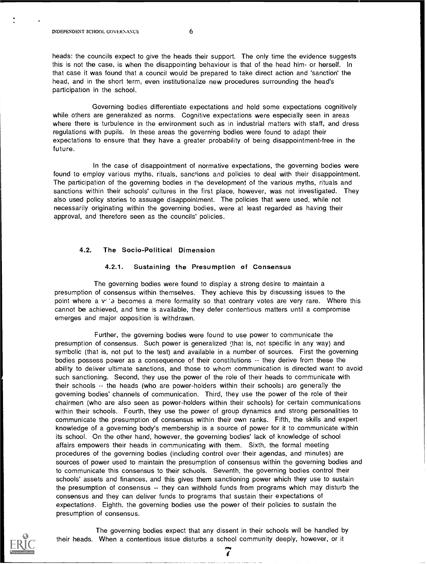heads: the councils expect to give the heads their support. The only time the evidence suggests this is not the case, is when the disappointing behaviour is that of the head him- or herself. In that case it was found that a council would be prepared to take direct action and 'sanction' the head, and in the short term, even institutionalize new procedures surrounding the head's participation in the school.

Governing bodies differentiate expectations and hold some expectations cognitively while others are generalized as norms. Cognitive expectations were especially seen in areas where there is turbulence in the environment such as in industrial matters with staff, and dress regulations with pupils. In these areas the governing bodies were found to adapt their expectations to ensure that they have a greater probability of being disappointment-free in the future.

In the case of disappointment of normative expectations, the governing bodies were found to employ various myths, rituals, sanctions and policies to deal with their disappointment. The participation of the governing bodies in the development of the various myths, rituals and sanctions within their schools' cultures in the first place, however, was not investigated. They also used policy stories to assuage disappointment. The policies that were used, while not necessarily originating within the governing bodies, were at least regarded as having their approval, and therefore seen as the councils' policies.

# 4.2. The Socio-Political Dimension

#### 4.2.1. Sustaining the Presumption of Consensus

The governing bodies were found to display a strong desire to maintain a presumption of consensus within themselves. They achieve this by discussing issues to the point where a  $v \rightarrow$  becomes a mere formality so that contrary votes are very rare. Where this cannot be achieved, and time is available, they defer contentious matters until a compromise emerges and major opposition is withdrawn.

Further, the governing bodies were found to use power to communicate the presumption of consensus. Such power is generalized (that is, not specific in any way) and symbolic (that is, not put to the test) and available in a number of sources. First the governing bodies possess power as a consequence of their constitutions -- they derive from these the ability to deliver ultimate sanctions, and those to whom communication is directed want to avoid such sanctioning. Second, they use the power of the role of their heads to communicate with their schools -- the heads (who are power-holders within their schools) are generally the governing bodies' channels of communication. Third, they use the power of the role of their chairmen (who are also seen as power-holders within their schools) for certain communications within their schools. Fourth, they use the power of group dynamics and strong personalities to communicate the presumption of consensus within their own ranks. Fifth, the skills and expert knowledge of a governing body's membership is a source of power for it to communicate within its school. On the other hand, however, the governing bodies' lack of knowledge of school affairs empowers their heads in communicating with them. Sixth, the formal meeting procedures of the governing bodies (including control over their agendas, and minutes) are sources of power used to maintain the presumption of consensus within the governing bodies and to communicate this consensus to their schools. Seventh, the governing bodies control their schools' assets and finances, and this gives them sanctioning power which they use to sustain the presumption of consensus  $\cdot\cdot$  they can withhold funds from programs which may disturb the consensus and they can deliver funds to programs that sustain their expectations of expectations. Eighth. the governing bodies use the power of their policies to sustain the presumption of consensus.



The governing bodies expect that any dissent in their schools will be handled by their heads. When a contentious issue disturbs a school community deeply, however, or it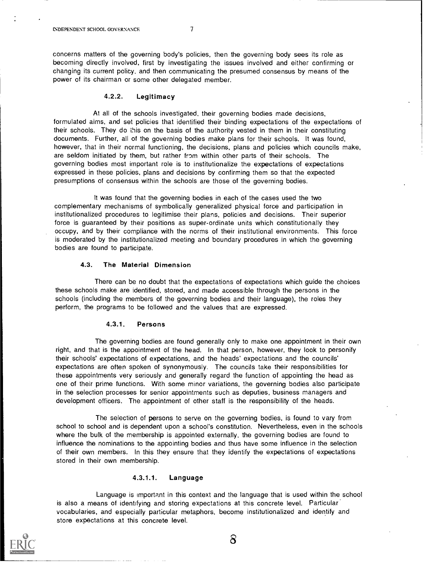concerns matters of the governing body's policies, then the governing body sees its role as becoming directly involved, first by investigating the issues involved and either confirming or changing its current policy, and then communicating the presumed consensus by means of the power of its chairman or some other delegated member.

#### 4.2.2. Legitimacy

At all of the schools investigated, their governing bodies made decisions, formulated aims, and set policies that identified their binding expectations of the expectations of their schools. They do this on the basis of the authority vested in them in their constituting documents. Further, all of the governing bodies make plans for their schools. It was found, however, that in their normal functioning, the decisions, plans and policies which councils make, are seldom initiated by them, but rather from within other parts of their schools. The governing bodies most important role is to institutionalize the expectations of expectations expressed in these policies, plans and decisions by confirming them so that the expected presumptions of consensus within the schools are those of the governing bodies.

It was found that the governing bodies in each of the cases used the two complementary mechanisms of symbolically generalized physical force and participation in institutionalized procedures to legitimise their plans, policies and decisions. Their superior force is guaranteed by their positions as super-ordinate units which constitutionally they occupy, and by their compliance with the norms of their institutional environments. This force is moderated by the institutionalized meeting and boundary procedures in which the governing bodies are found to participate.

#### 4.3. The Material Dimension

There can be no doubt that the expectations of expectations which guide the choices these schools make are identified, stored, and made accessible through the persons in the schools (including the members of the governing bodies and their language), the roles they perform, the programs to be followed and the values that are expressed.

#### 4.3.1. Persons

The governing bodies are found generally only to make one appointment in their own right, and that is the appointment of the head. In that person, however, they look to personify their schools' expectations of expectations, and the heads' expectations and the councils' expectations are often spoken of synonymously. The councils take their responsibilities for these appointments very seriously and generally regard the function of appointing the head as one of their prime functions. With some minor variations, the governing bodies also participate in the selection processes for senior appointments such as deputies, business managers and development officers. The appointment of other staff is the responsibility of the heads.

The selection of persons to serve on the governing bodies, is found to vary from school to school and is dependent upon a school's constitution. Nevertheless, even in the schools where the bulk of the membership is appointed externally. the governing bodies are found to influence the nominations to the appointing bodies and thus have some influence in the selection of their own members. In this they ensure that they identify the expectations of expectations stored in their own membership.

#### 4.3.1.1. Language

Language is important in this context and the language that is used within the school is also a means of identifying and storing expectations at this concrete level. Particular vocabularies, and especially particular metaphors, become institutionalized and identify and store expectations at this concrete level.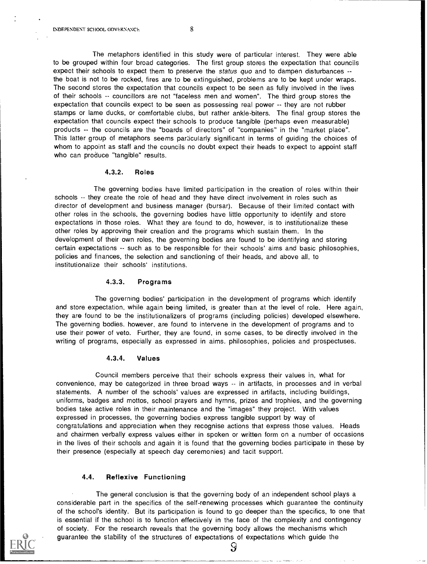The metaphors identified in this study were of particular interest. They were able to be grouped within four broad categories. The first group stores the expectation that councils expect their schools to expect them to preserve the status quo and to dampen disturbances -the boat is not to be rocked, fires are to be extinguished, problems are to be kept under wraps. The second stores the expectation that councils expect to be seen as fully involved in the lives of their schools -- councillors are not "faceless men and women". The third group stores the expectation that councils expect to be seen as possessing real power -- they are not rubber stamps or lame ducks, or comfortable clubs, but rather ankle-biters. The final group stores the expectation that councils expect their schools to produce tangible (perhaps even measurable) products -- the councils are the "boards of directors" of "companies" in the "market place". This latter group of metaphors seems particularly significant in terms of guiding the choices of whom to appoint as staff and the councils no doubt expect their heads to expect to appoint staff who can produce "tangible" results.

## 4.3.2. Roles

The governing bodies have limited participation in the creation of roles within their schools -- they create the role of head and they have direct involvement in roles such as director of development and business manager (bursar). Because of their limited contact with other roles in the schools, the governing bodies have little opportunity to identify and store expectations in those roles. What they are found to do, however, is to institutionalize these other roles by approving their creation and the programs which sustain them. In the development of their own roles, the governing bodies are found to be identifying and storing certain expectations  $\cdot$  such as to be responsible for their schools' aims and basic philosophies, policies and finances, the selection and sanctioning of their heads, and above all, to institutionalize their schools' institutions.

#### 4.3.3. Programs

The governing bodies' participation in the development of programs which identify and store expectation, while again being limited, is greater than at the level of role. Here again, they are found to be the institutionalizers of programs (including policies) developed elsewhere. The governing bodies, however, are found to intervene in the development of programs and to use their power of veto. Further, they are found, in some cases, to be directly involved in the writing of programs, especially as expressed in aims, philosophies, policies and prospectuses.

#### 4.3.4. Values

Council members perceive that their schools express their values in, what for convenience, may be categorized in three broad ways  $-$  in artifacts, in processes and in verbal statements. A number of the schools' values are expressed in artifacts, including buildings, uniforms, badges and mottos, school prayers and hymns, prizes and trophies, and the governing bodies take active roles in their maintenance and the "images" they project. With values expressed in processes, the governing bodies express tangible support by way of congratulations and appreciation when they recognise actions that express those values. Heads and chairmen verbally express values either in spoken or written form on a number of occasions in the lives of their schools and again it is found that the governing bodies participate in these by their presence (especially at speech day ceremonies) and tacit support.

#### 4.4. Reflexive Functioning

The general conclusion is that the governing body of an independent school plays a considerable part in the specifics of the self-renewing processes which guarantee the continuity of the school's identity. But its participation is found to go deeper than the specifics, to one that is essential if the school is to function effectively in the face of the complexity and contingency of society. For the research reveals that the governing body allows the mechanisms which guarantee the stability of the structures of expectations of expectations which guide the



У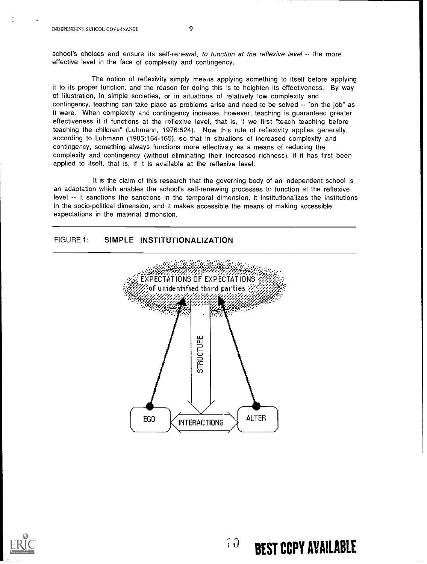school's choices and ensure its self-renewal, to function at the reflexive level -- the more effective level in the face of complexity and contingency.

The notion of reflexivity simply meals applying something to itself before applying it to its proper function, and the reason for doing this is to heighten its effectiveness. By way of illustration, in simple societies, or in situations of relatively low complexity and contingency, teaching can take place as problems arise and need to be solved -- "on the job" as it were. When complexity and contingency increase, however, teaching is guaranteed greater effectiveness if it functions at the reflexive level, that is, if we first "teach teaching before teaching the children" (Luhmann, 1976:524). Now this rule of reflexivity applies generally, according to Luhmann (1985:164-165), so that in situations of increased complexity and contingency, something always functions more effectively as a means of reducing the complexity and contingency (without eliminating their increased richness), if it has first been applied to itself, that is, if it is available at the reflexive level.

It is the claim of this research that the governing body of an independent school is an adaptation which enables the school's self-renewing processes to function at the reflexive level -- it sanctions the sanctions in the temporal dimension, it institutionalizes the institutions in the socio-political dimension, and it makes accessible the means of making accessible expectations in the material dimension.

# FIGURE 1: SIMPLE INSTITUTIONALIZATION





# $\widehat{P}$  BEST COPY AVAILABLE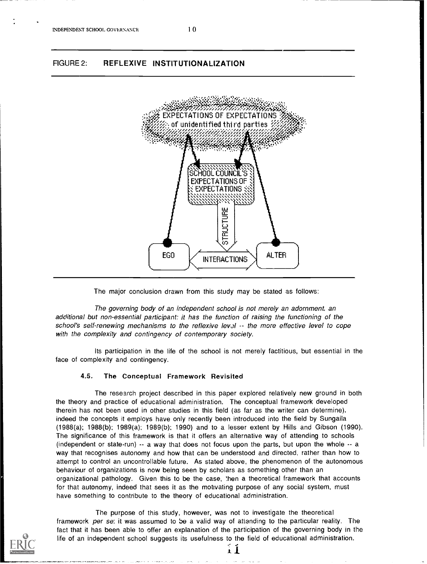# FIGURE 2: REFLEXIVE INSTITUTIONALIZATION



The major conclusion drawn from this study may be stated as follows:

The governing body of an independent school is not merely an adornment, an additional but non-essential participant: it has the function of raising the functioning of the school's self-renewing mechanisms to the reflexive level -- the more effective level to cope with the complexity and contingency of contemporary society.

Its participation in the life of the school is not merely factitious, but essential in the face of complexity and contingency.

#### 4.5. The Conceptual Framework Revisited

The research project described in this paper explored relatively new ground in both the theory and practice of educational administration. The conceptual framework developed therein has not been used in other studies in this field (as far as the writer can determine), indeed the concepts it employs have only recently been introduced into the field by Sungaila (1988(a); 1988(b); 1989(a); 1989(b); 1990) and to a lesser extent by Hills and Gibson (1990). The significance of this framework is that it offers an alternative way of attending to schools (independent or state-run)  $-$  a way that does not focus upon the parts, but upon the whole  $-$  a way that recognises autonomy and how that can be understood and directed, rather than how to attempt to control an uncontrollable future. As stated above, the phenomenon of the autonomous behaviour of organizations is now being seen by scholars as something other than an organizational pathology. Given this to be the case, 'hen a theoretical framework that accounts for that autonomy, indeed that sees it as the motivating purpose of any social system, must have something to contribute to the theory of educational administration.

The purpose of this study, however, was not to investigate the theoretical framework per se: it was assumed to be a valid way of attending to the particular reality. The fact that it has been able to offer an explanation of the participation of the governing body in the life of an independent school suggests its usefulness to the field of educational administration.

I.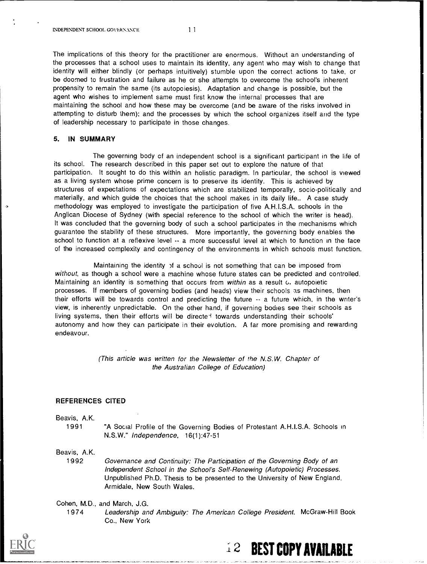The implications of this theory for the practitioner are enormous. Without an understanding of the processes that a school uses to maintain its identity, any agent who may wish to change that identity will either blindly (or perhaps intuitively) stumble upon the correct actions to take, or be doomed to frustration and failure as he or she attempts to overcome the school's inherent propensity to remain the same (its autopoiesis). Adaptation and change is possible, but the agent who wishes to implement same must first know the internal processes that are maintaining the school and how these may be overcome (and be aware of the risks involved in attempting to disturb them): and the processes by which the school organizes itself and the type of leadership necessary to participate in those changes.

#### 5. IN SUMMARY

The governing body of an independent school is a significant participant in the life of its school. The research described in this paper set out to explore the nature of that participation. It sought to do this within an holistic paradigm. In particular, the school is viewed as a living system whose prime concern is to preserve its identity. This is achieved by structures of expectations of expectations which are stabilized temporally, socio-politically and materially, and which guide the choices that the school makes in its daily life.. A case study methodology was employed to investigate the participation of five A.H.I.S.A. schools in the Anglican Diocese of Sydney (with special reference to the school of which the writer is head). It was concluded that the governing body of such a school participates in the mechanisms which guarantee the stability of these structures. More importantly, the governing body enables the school to function at a reflexive level  $\cdot$  a more successful level at which to function in the face of the increased complexity and contingency of the environments in which schools must function.

Maintaining the identity )f a school is not something that can be imposed from without, as though a school were a machine whose future states can be predicted and controlled. Maintaining an identity is something that occurs from within as a result 6. autopoietic processes. If members of governing bodies (and heads) view their schools as machines. then their efforts will be towards control and predicting the future  $\sim$  a future which, in the writer's view, is inherently unpredictable. On the other hand, if governing bodies see their schools as living systems, then their efforts will be directe<sup> $+$ </sup> towards understanding their schools' autonomy and how they can participate in their evolution. A far more promising and rewarding endeavour.

> (This article was written for the Newsletter of the N.S.W. Chapter of the Australian College of Education)

#### REFERENCES CITED

Beavis, A.K.

1991 "A Social Profile of the Governing Bodies of Protestant A.H.I.S.A. Schools in N.S.W." Independence, 16(1):47-51

Beavis, A.K.

1992 Governance and Continuity: The Participation of the Governing Body of an Independent School in the School's Self-Renewing (Autopoietic) Processes. Unpublished Ph.D. Thesis to be presented to the University of New England, Armidale, New South Wales.

Cohen, M.D., and March, J.G.

1974 Leadership and Ambiguity: The American College President. McGraw-Hill Book Co., New York

2 BEST COPY AVAILABLE

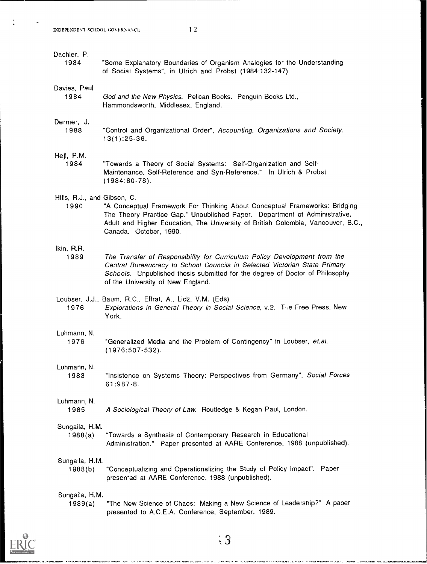$\ddot{\cdot}$ 

 $\tilde{\mathcal{L}}$ 

| Dachler, P.                         | "Some Explanatory Boundaries of Organism Analogies for the Understanding                                                                                                                                                                                                     |
|-------------------------------------|------------------------------------------------------------------------------------------------------------------------------------------------------------------------------------------------------------------------------------------------------------------------------|
| 1984                                | of Social Systems", in Ulrich and Probst (1984:132-147)                                                                                                                                                                                                                      |
| Davies, Paul                        | God and the New Physics. Pelican Books. Penguin Books Ltd.,                                                                                                                                                                                                                  |
| 1984                                | Hammondsworth, Middlesex, England.                                                                                                                                                                                                                                           |
| Dermer, J.                          | "Control and Organizational Order", Accounting, Organizations and Society.                                                                                                                                                                                                   |
| 1988                                | $13(1):25-36.$                                                                                                                                                                                                                                                               |
| Hejl, P.M.<br>1984                  | "Towards a Theory of Social Systems: Self-Organization and Self-<br>Maintenance, Self-Reference and Syn-Reference." In Ulrich & Probst<br>$(1984:60-78)$ .                                                                                                                   |
| Hills, R.J., and Gibson, C.<br>1990 | "A Conceptual Framework For Thinking About Conceptual Frameworks: Bridging<br>The Theory Practice Gap." Unpublished Paper. Department of Administrative,<br>Adult and Higher Education, The University of British Colombia, Vancouver, B.C.,<br>Canada. October, 1990.       |
| Ikin, R.R.<br>1989                  | The Transfer of Responsibility for Curriculum Policy Development from the<br>Central Bureaucracy to School Councils in Selected Victorian State Primary<br>Schools. Unpublished thesis submitted for the degree of Doctor of Philosophy<br>of the University of New England. |
| 1976                                | Loubser, J.J., Baum, R.C., Effrat, A., Lidz, V.M. (Eds)<br>Explorations in General Theory in Social Science, v.2. The Free Press, New<br>York.                                                                                                                               |
| Luhmann, N.                         | "Generalized Media and the Problem of Contingency" in Loubser, et.al.                                                                                                                                                                                                        |
| 1976                                | $(1976:507-532)$ .                                                                                                                                                                                                                                                           |
| Luhmann, N.                         | "Insistence on Systems Theory: Perspectives from Germany", Social Forces                                                                                                                                                                                                     |
| 1983                                | 61:987-8.                                                                                                                                                                                                                                                                    |
| Luhmann, N.<br>1985                 | A Sociological Theory of Law. Routledge & Kegan Paul, London.                                                                                                                                                                                                                |
| Sungaila, H.M.                      | "Towards a Synthesis of Contemporary Research in Educational                                                                                                                                                                                                                 |
| 1988(a)                             | Administration." Paper presented at AARE Conference, 1988 (unpublished).                                                                                                                                                                                                     |
| Sungaila, H.M.                      | "Conceptualizing and Operationalizing the Study of Policy Impact". Paper                                                                                                                                                                                                     |
| 1988(b)                             | presented at AARE Conference, 1988 (unpublished).                                                                                                                                                                                                                            |
| Sungaila, H.M.<br>1989(a)           | "The New Science of Chaos: Making a New Science of Leadersnip?" A paper                                                                                                                                                                                                      |



presented to A.C.E.A. Conference, September, 1989.